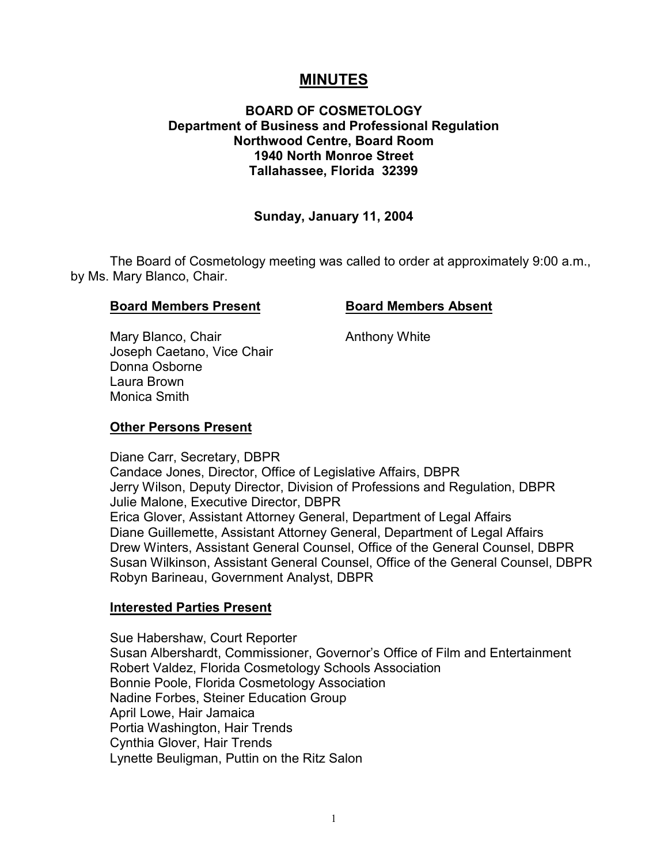# **MINUTES**

# **BOARD OF COSMETOLOGY Department of Business and Professional Regulation Northwood Centre, Board Room 1940 North Monroe Street Tallahassee, Florida 32399**

#### **Sunday, January 11, 2004**

The Board of Cosmetology meeting was called to order at approximately 9:00 a.m., by Ms. Mary Blanco, Chair.

#### **Board Members Present Board Members Absent**

Mary Blanco, Chair **Anthony White** Joseph Caetano, Vice Chair Donna Osborne Laura Brown Monica Smith

#### **Other Persons Present**

Diane Carr, Secretary, DBPR Candace Jones, Director, Office of Legislative Affairs, DBPR Jerry Wilson, Deputy Director, Division of Professions and Regulation, DBPR Julie Malone, Executive Director, DBPR Erica Glover, Assistant Attorney General, Department of Legal Affairs Diane Guillemette, Assistant Attorney General, Department of Legal Affairs Drew Winters, Assistant General Counsel, Office of the General Counsel, DBPR Susan Wilkinson, Assistant General Counsel, Office of the General Counsel, DBPR Robyn Barineau, Government Analyst, DBPR

#### **Interested Parties Present**

Sue Habershaw, Court Reporter Susan Albershardt, Commissioner, Governor's Office of Film and Entertainment Robert Valdez, Florida Cosmetology Schools Association Bonnie Poole, Florida Cosmetology Association Nadine Forbes, Steiner Education Group April Lowe, Hair Jamaica Portia Washington, Hair Trends Cynthia Glover, Hair Trends Lynette Beuligman, Puttin on the Ritz Salon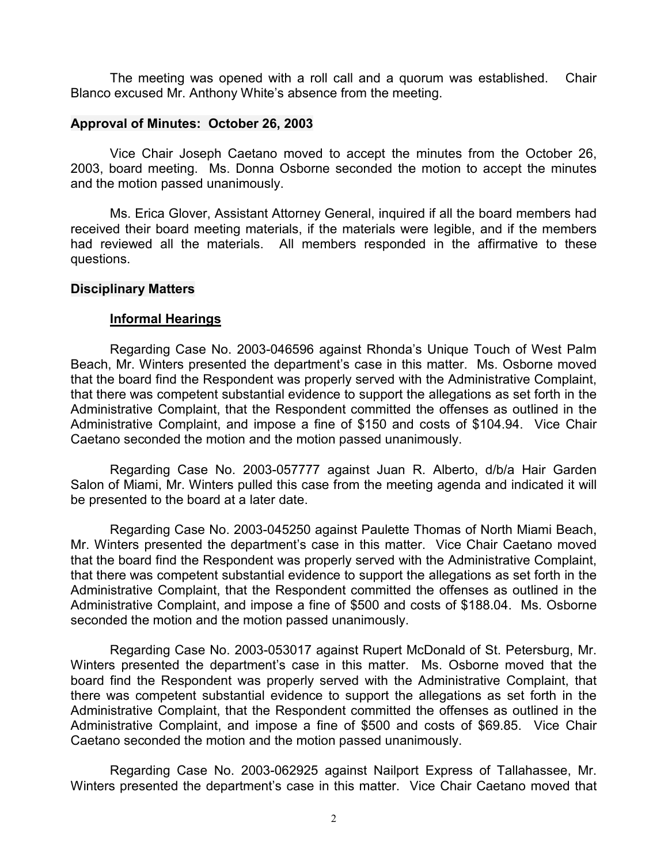The meeting was opened with a roll call and a quorum was established. Chair Blanco excused Mr. Anthony White's absence from the meeting.

#### **Approval of Minutes: October 26, 2003**

Vice Chair Joseph Caetano moved to accept the minutes from the October 26, 2003, board meeting. Ms. Donna Osborne seconded the motion to accept the minutes and the motion passed unanimously.

Ms. Erica Glover, Assistant Attorney General, inquired if all the board members had received their board meeting materials, if the materials were legible, and if the members had reviewed all the materials. All members responded in the affirmative to these questions.

#### **Disciplinary Matters**

#### **Informal Hearings**

Regarding Case No. 2003-046596 against Rhonda's Unique Touch of West Palm Beach, Mr. Winters presented the department's case in this matter. Ms. Osborne moved that the board find the Respondent was properly served with the Administrative Complaint, that there was competent substantial evidence to support the allegations as set forth in the Administrative Complaint, that the Respondent committed the offenses as outlined in the Administrative Complaint, and impose a fine of \$150 and costs of \$104.94. Vice Chair Caetano seconded the motion and the motion passed unanimously.

Regarding Case No. 2003-057777 against Juan R. Alberto, d/b/a Hair Garden Salon of Miami, Mr. Winters pulled this case from the meeting agenda and indicated it will be presented to the board at a later date.

Regarding Case No. 2003-045250 against Paulette Thomas of North Miami Beach, Mr. Winters presented the department's case in this matter. Vice Chair Caetano moved that the board find the Respondent was properly served with the Administrative Complaint, that there was competent substantial evidence to support the allegations as set forth in the Administrative Complaint, that the Respondent committed the offenses as outlined in the Administrative Complaint, and impose a fine of \$500 and costs of \$188.04. Ms. Osborne seconded the motion and the motion passed unanimously.

Regarding Case No. 2003-053017 against Rupert McDonald of St. Petersburg, Mr. Winters presented the department's case in this matter. Ms. Osborne moved that the board find the Respondent was properly served with the Administrative Complaint, that there was competent substantial evidence to support the allegations as set forth in the Administrative Complaint, that the Respondent committed the offenses as outlined in the Administrative Complaint, and impose a fine of \$500 and costs of \$69.85. Vice Chair Caetano seconded the motion and the motion passed unanimously.

Regarding Case No. 2003-062925 against Nailport Express of Tallahassee, Mr. Winters presented the department's case in this matter. Vice Chair Caetano moved that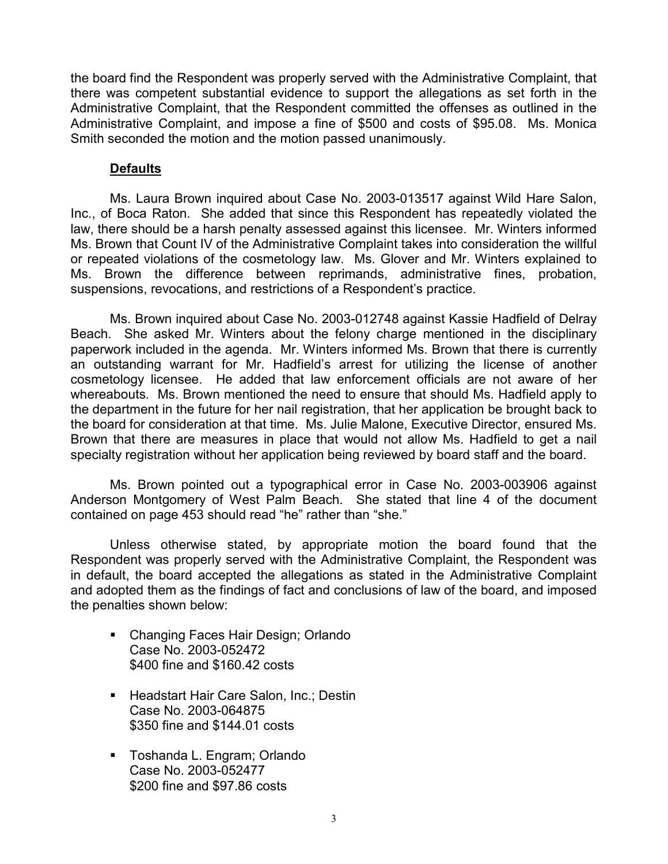the board find the Respondent was properly served with the Administrative Complaint, that there was competent substantial evidence to support the allegations as set forth in the Administrative Complaint, that the Respondent committed the offenses as outlined in the Administrative Complaint, and impose a fine of \$500 and costs of \$95.08. Ms. Monica Smith seconded the motion and the motion passed unanimously.

## **Defaults**

Ms. Laura Brown inquired about Case No. 2003-013517 against Wild Hare Salon, Inc., of Boca Raton. She added that since this Respondent has repeatedly violated the law, there should be a harsh penalty assessed against this licensee. Mr. Winters informed Ms. Brown that Count IV of the Administrative Complaint takes into consideration the willful or repeated violations of the cosmetology law. Ms. Glover and Mr. Winters explained to Ms. Brown the difference between reprimands, administrative fines, probation, suspensions, revocations, and restrictions of a Respondent's practice.

Ms. Brown inquired about Case No. 2003-012748 against Kassie Hadfield of Delray Beach. She asked Mr. Winters about the felony charge mentioned in the disciplinary paperwork included in the agenda. Mr. Winters informed Ms. Brown that there is currently an outstanding warrant for Mr. Hadfield's arrest for utilizing the license of another cosmetology licensee. He added that law enforcement officials are not aware of her whereabouts. Ms. Brown mentioned the need to ensure that should Ms. Hadfield apply to the department in the future for her nail registration, that her application be brought back to the board for consideration at that time. Ms. Julie Malone, Executive Director, ensured Ms. Brown that there are measures in place that would not allow Ms. Hadfield to get a nail specialty registration without her application being reviewed by board staff and the board.

Ms. Brown pointed out a typographical error in Case No. 2003-003906 against Anderson Montgomery of West Palm Beach. She stated that line 4 of the document contained on page 453 should read "he" rather than "she."

Unless otherwise stated, by appropriate motion the board found that the Respondent was properly served with the Administrative Complaint, the Respondent was in default, the board accepted the allegations as stated in the Administrative Complaint and adopted them as the findings of fact and conclusions of law of the board, and imposed the penalties shown below:

- Changing Faces Hair Design; Orlando Case No. 2003-052472 \$400 fine and \$160.42 costs
- **Headstart Hair Care Salon, Inc.; Destin** Case No. 2003-064875 \$350 fine and \$144.01 costs
- **Toshanda L. Engram; Orlando** Case No. 2003-052477 \$200 fine and \$97.86 costs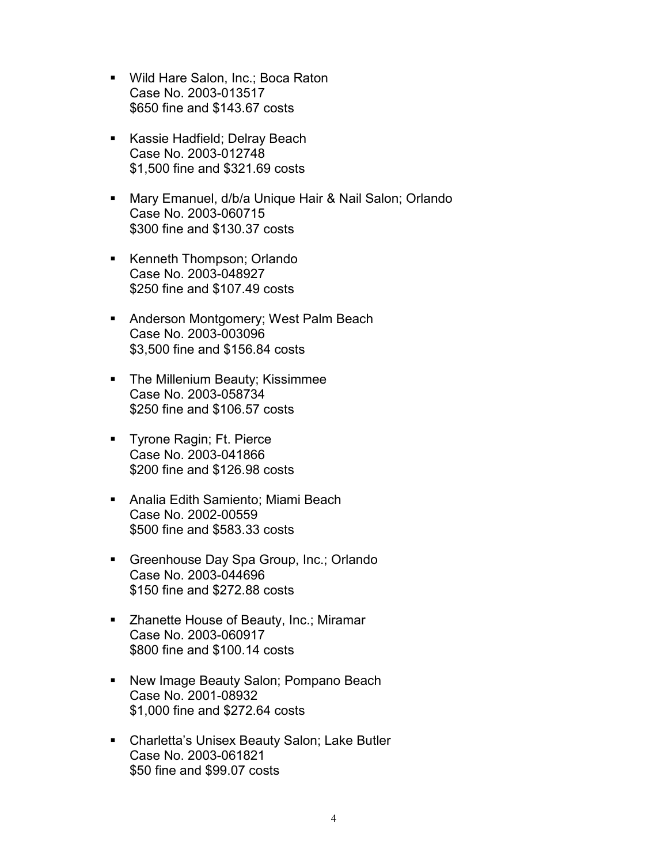- **Wild Hare Salon, Inc.; Boca Raton** Case No. 2003-013517 \$650 fine and \$143.67 costs
- **Kassie Hadfield; Delray Beach** Case No. 2003-012748 \$1,500 fine and \$321.69 costs
- Mary Emanuel, d/b/a Unique Hair & Nail Salon; Orlando Case No. 2003-060715 \$300 fine and \$130.37 costs
- **Kenneth Thompson; Orlando** Case No. 2003-048927 \$250 fine and \$107.49 costs
- **Anderson Montgomery; West Palm Beach** Case No. 2003-003096 \$3,500 fine and \$156.84 costs
- **The Millenium Beauty; Kissimmee** Case No. 2003-058734 \$250 fine and \$106.57 costs
- **Tyrone Ragin; Ft. Pierce** Case No. 2003-041866 \$200 fine and \$126.98 costs
- Analia Edith Samiento; Miami Beach Case No. 2002-00559 \$500 fine and \$583.33 costs
- Greenhouse Day Spa Group, Inc.; Orlando Case No. 2003-044696 \$150 fine and \$272.88 costs
- Zhanette House of Beauty, Inc.; Miramar Case No. 2003-060917 \$800 fine and \$100.14 costs
- New Image Beauty Salon; Pompano Beach Case No. 2001-08932 \$1,000 fine and \$272.64 costs
- Charletta's Unisex Beauty Salon; Lake Butler Case No. 2003-061821 \$50 fine and \$99.07 costs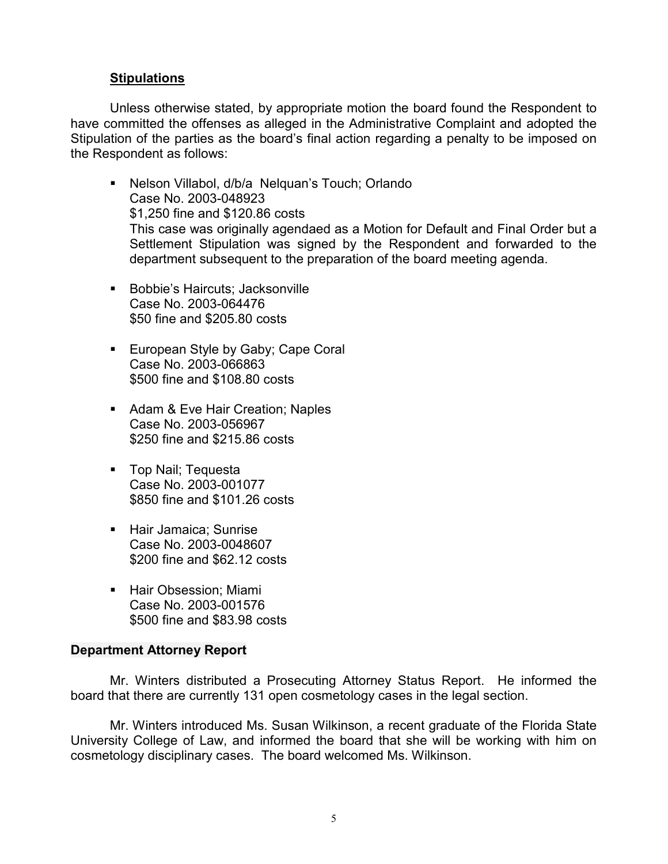## **Stipulations**

Unless otherwise stated, by appropriate motion the board found the Respondent to have committed the offenses as alleged in the Administrative Complaint and adopted the Stipulation of the parties as the board's final action regarding a penalty to be imposed on the Respondent as follows:

- Nelson Villabol, d/b/a Nelquan's Touch; Orlando Case No. 2003-048923 \$1,250 fine and \$120.86 costs This case was originally agendaed as a Motion for Default and Final Order but a Settlement Stipulation was signed by the Respondent and forwarded to the department subsequent to the preparation of the board meeting agenda.
- Bobbie's Haircuts; Jacksonville Case No. 2003-064476 \$50 fine and \$205.80 costs
- **European Style by Gaby; Cape Coral** Case No. 2003-066863 \$500 fine and \$108.80 costs
- Adam & Eve Hair Creation; Naples Case No. 2003-056967 \$250 fine and \$215.86 costs
- **Top Nail**; Tequesta Case No. 2003-001077 \$850 fine and \$101.26 costs
- **Hair Jamaica; Sunrise** Case No. 2003-0048607 \$200 fine and \$62.12 costs
- Hair Obsession: Miami Case No. 2003-001576 \$500 fine and \$83.98 costs

#### **Department Attorney Report**

Mr. Winters distributed a Prosecuting Attorney Status Report. He informed the board that there are currently 131 open cosmetology cases in the legal section.

Mr. Winters introduced Ms. Susan Wilkinson, a recent graduate of the Florida State University College of Law, and informed the board that she will be working with him on cosmetology disciplinary cases. The board welcomed Ms. Wilkinson.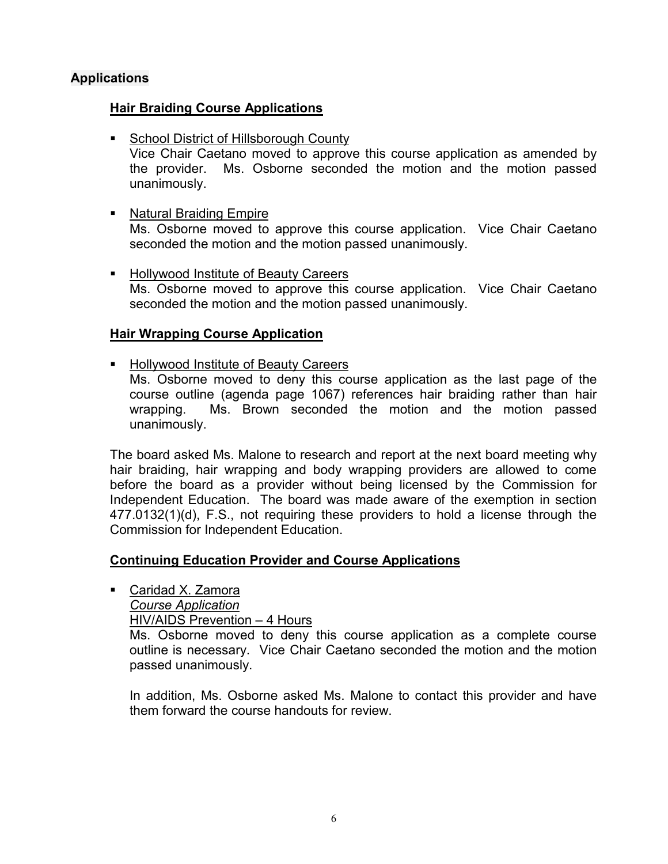# **Applications**

## **Hair Braiding Course Applications**

■ School District of Hillsborough County

Vice Chair Caetano moved to approve this course application as amended by the provider. Ms. Osborne seconded the motion and the motion passed unanimously.

# ■ Natural Braiding Empire

Ms. Osborne moved to approve this course application. Vice Chair Caetano seconded the motion and the motion passed unanimously.

**Hollywood Institute of Beauty Careers** Ms. Osborne moved to approve this course application. Vice Chair Caetano seconded the motion and the motion passed unanimously.

# **Hair Wrapping Course Application**

**Hollywood Institute of Beauty Careers** 

Ms. Osborne moved to deny this course application as the last page of the course outline (agenda page 1067) references hair braiding rather than hair wrapping. Ms. Brown seconded the motion and the motion passed unanimously.

The board asked Ms. Malone to research and report at the next board meeting why hair braiding, hair wrapping and body wrapping providers are allowed to come before the board as a provider without being licensed by the Commission for Independent Education. The board was made aware of the exemption in section 477.0132(1)(d), F.S., not requiring these providers to hold a license through the Commission for Independent Education.

## **Continuing Education Provider and Course Applications**

■ Caridad X. Zamora

*Course Application*

HIV/AIDS Prevention – 4 Hours

Ms. Osborne moved to deny this course application as a complete course outline is necessary. Vice Chair Caetano seconded the motion and the motion passed unanimously.

In addition, Ms. Osborne asked Ms. Malone to contact this provider and have them forward the course handouts for review.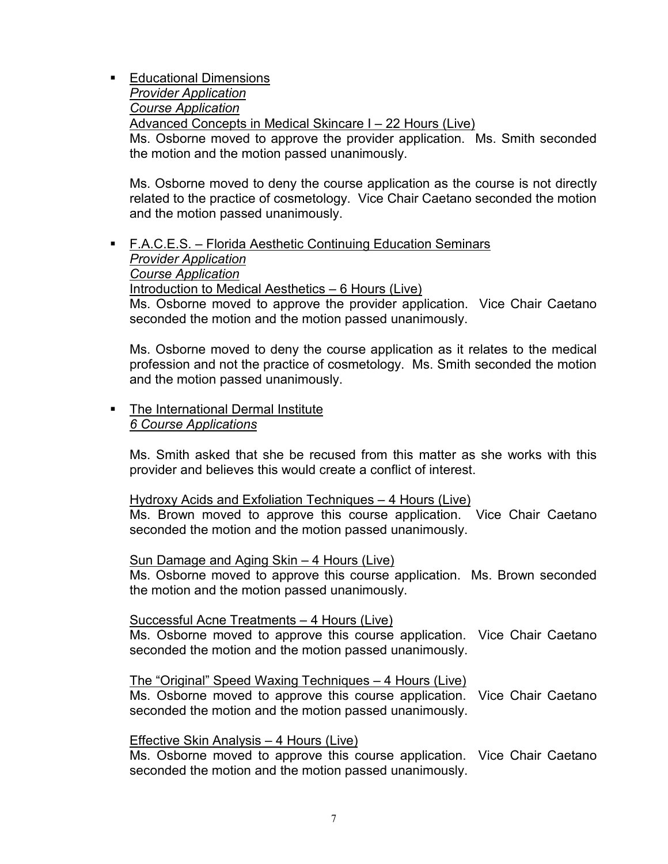**Educational Dimensions** *Provider Application Course Application* Advanced Concepts in Medical Skincare I – 22 Hours (Live) Ms. Osborne moved to approve the provider application. Ms. Smith seconded the motion and the motion passed unanimously.

Ms. Osborne moved to deny the course application as the course is not directly related to the practice of cosmetology. Vice Chair Caetano seconded the motion and the motion passed unanimously.

# F.A.C.E.S. – Florida Aesthetic Continuing Education Seminars *Provider Application Course Application* Introduction to Medical Aesthetics – 6 Hours (Live)

Ms. Osborne moved to approve the provider application. Vice Chair Caetano seconded the motion and the motion passed unanimously.

Ms. Osborne moved to deny the course application as it relates to the medical profession and not the practice of cosmetology. Ms. Smith seconded the motion and the motion passed unanimously.

## • The International Dermal Institute *6 Course Applications*

Ms. Smith asked that she be recused from this matter as she works with this provider and believes this would create a conflict of interest.

## Hydroxy Acids and Exfoliation Techniques – 4 Hours (Live)

Ms. Brown moved to approve this course application. Vice Chair Caetano seconded the motion and the motion passed unanimously.

#### Sun Damage and Aging Skin – 4 Hours (Live)

Ms. Osborne moved to approve this course application. Ms. Brown seconded the motion and the motion passed unanimously.

## Successful Acne Treatments – 4 Hours (Live)

Ms. Osborne moved to approve this course application. Vice Chair Caetano seconded the motion and the motion passed unanimously.

#### The "Original" Speed Waxing Techniques – 4 Hours (Live)

Ms. Osborne moved to approve this course application. Vice Chair Caetano seconded the motion and the motion passed unanimously.

## Effective Skin Analysis – 4 Hours (Live)

Ms. Osborne moved to approve this course application. Vice Chair Caetano seconded the motion and the motion passed unanimously.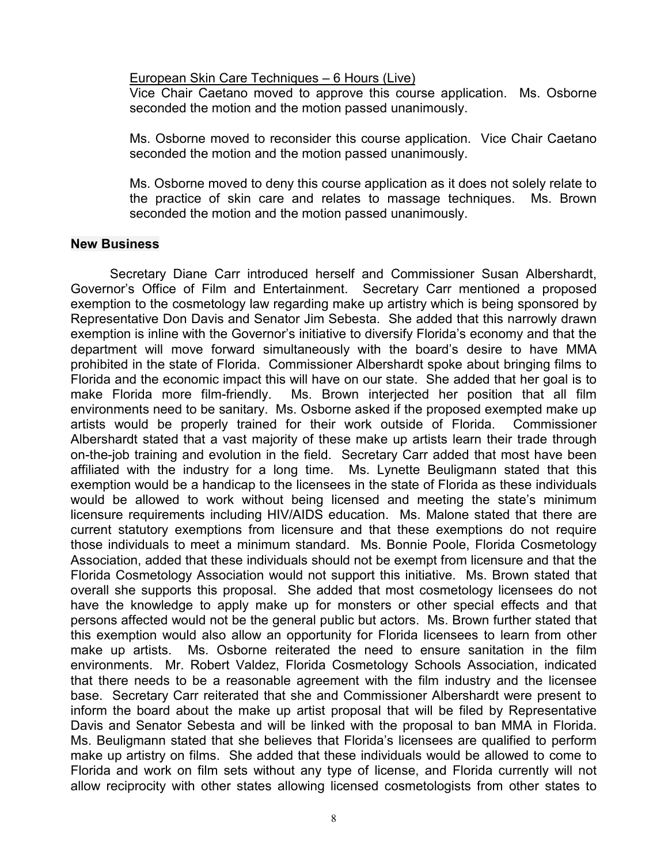#### European Skin Care Techniques – 6 Hours (Live)

Vice Chair Caetano moved to approve this course application. Ms. Osborne seconded the motion and the motion passed unanimously.

Ms. Osborne moved to reconsider this course application. Vice Chair Caetano seconded the motion and the motion passed unanimously.

Ms. Osborne moved to deny this course application as it does not solely relate to the practice of skin care and relates to massage techniques. Ms. Brown seconded the motion and the motion passed unanimously.

#### **New Business**

Secretary Diane Carr introduced herself and Commissioner Susan Albershardt, Governor's Office of Film and Entertainment. Secretary Carr mentioned a proposed exemption to the cosmetology law regarding make up artistry which is being sponsored by Representative Don Davis and Senator Jim Sebesta. She added that this narrowly drawn exemption is inline with the Governor's initiative to diversify Florida's economy and that the department will move forward simultaneously with the board's desire to have MMA prohibited in the state of Florida. Commissioner Albershardt spoke about bringing films to Florida and the economic impact this will have on our state. She added that her goal is to make Florida more film-friendly. Ms. Brown interjected her position that all film environments need to be sanitary. Ms. Osborne asked if the proposed exempted make up artists would be properly trained for their work outside of Florida. Commissioner Albershardt stated that a vast majority of these make up artists learn their trade through on-the-job training and evolution in the field. Secretary Carr added that most have been affiliated with the industry for a long time. Ms. Lynette Beuligmann stated that this exemption would be a handicap to the licensees in the state of Florida as these individuals would be allowed to work without being licensed and meeting the state's minimum licensure requirements including HIV/AIDS education. Ms. Malone stated that there are current statutory exemptions from licensure and that these exemptions do not require those individuals to meet a minimum standard. Ms. Bonnie Poole, Florida Cosmetology Association, added that these individuals should not be exempt from licensure and that the Florida Cosmetology Association would not support this initiative. Ms. Brown stated that overall she supports this proposal. She added that most cosmetology licensees do not have the knowledge to apply make up for monsters or other special effects and that persons affected would not be the general public but actors. Ms. Brown further stated that this exemption would also allow an opportunity for Florida licensees to learn from other make up artists. Ms. Osborne reiterated the need to ensure sanitation in the film environments. Mr. Robert Valdez, Florida Cosmetology Schools Association, indicated that there needs to be a reasonable agreement with the film industry and the licensee base. Secretary Carr reiterated that she and Commissioner Albershardt were present to inform the board about the make up artist proposal that will be filed by Representative Davis and Senator Sebesta and will be linked with the proposal to ban MMA in Florida. Ms. Beuligmann stated that she believes that Florida's licensees are qualified to perform make up artistry on films. She added that these individuals would be allowed to come to Florida and work on film sets without any type of license, and Florida currently will not allow reciprocity with other states allowing licensed cosmetologists from other states to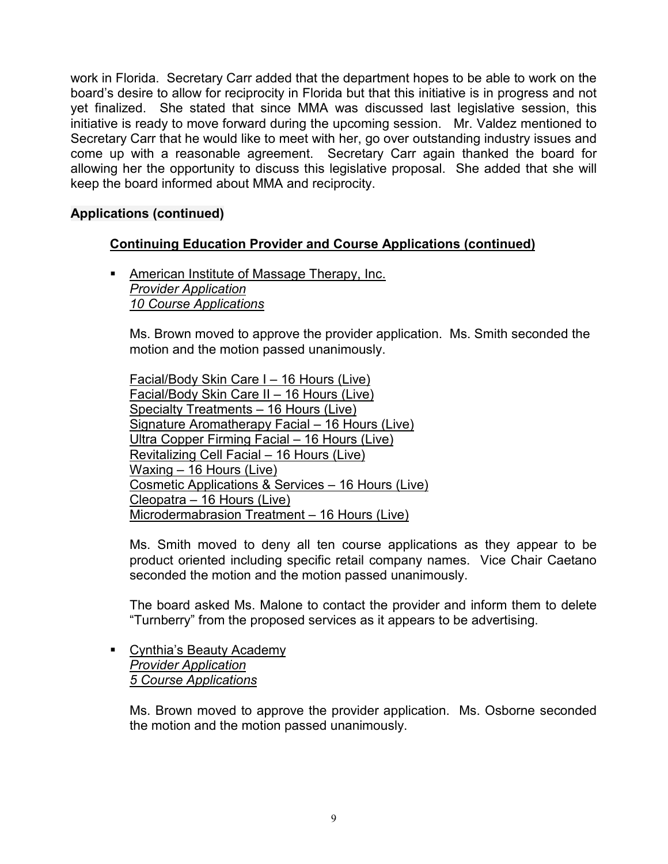work in Florida. Secretary Carr added that the department hopes to be able to work on the board's desire to allow for reciprocity in Florida but that this initiative is in progress and not yet finalized. She stated that since MMA was discussed last legislative session, this initiative is ready to move forward during the upcoming session. Mr. Valdez mentioned to Secretary Carr that he would like to meet with her, go over outstanding industry issues and come up with a reasonable agreement. Secretary Carr again thanked the board for allowing her the opportunity to discuss this legislative proposal. She added that she will keep the board informed about MMA and reciprocity.

# **Applications (continued)**

# **Continuing Education Provider and Course Applications (continued)**

**American Institute of Massage Therapy, Inc.** *Provider Application 10 Course Applications*

Ms. Brown moved to approve the provider application. Ms. Smith seconded the motion and the motion passed unanimously.

Facial/Body Skin Care I – 16 Hours (Live) Facial/Body Skin Care II – 16 Hours (Live) Specialty Treatments – 16 Hours (Live) Signature Aromatherapy Facial – 16 Hours (Live) Ultra Copper Firming Facial – 16 Hours (Live) Revitalizing Cell Facial – 16 Hours (Live) Waxing - 16 Hours (Live) Cosmetic Applications & Services – 16 Hours (Live) Cleopatra – 16 Hours (Live) Microdermabrasion Treatment – 16 Hours (Live)

Ms. Smith moved to deny all ten course applications as they appear to be product oriented including specific retail company names. Vice Chair Caetano seconded the motion and the motion passed unanimously.

The board asked Ms. Malone to contact the provider and inform them to delete "Turnberry" from the proposed services as it appears to be advertising.

**Cynthia's Beauty Academy** *Provider Application 5 Course Applications*

> Ms. Brown moved to approve the provider application. Ms. Osborne seconded the motion and the motion passed unanimously.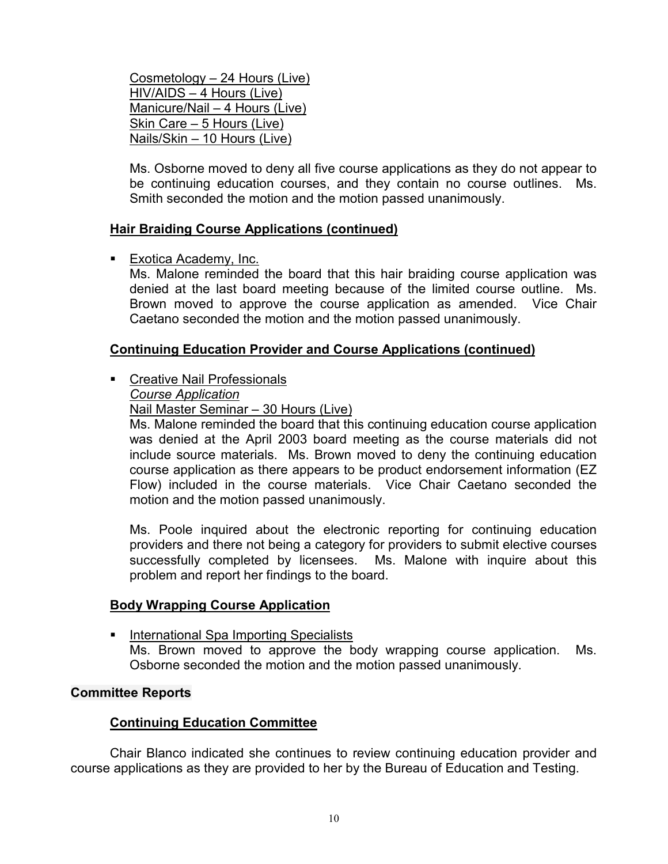Cosmetology – 24 Hours (Live) HIV/AIDS – 4 Hours (Live) Manicure/Nail – 4 Hours (Live) Skin Care – 5 Hours (Live) Nails/Skin – 10 Hours (Live)

Ms. Osborne moved to deny all five course applications as they do not appear to be continuing education courses, and they contain no course outlines. Ms. Smith seconded the motion and the motion passed unanimously.

## **Hair Braiding Course Applications (continued)**

■ Exotica Academy, Inc.

Ms. Malone reminded the board that this hair braiding course application was denied at the last board meeting because of the limited course outline. Ms. Brown moved to approve the course application as amended. Vice Chair Caetano seconded the motion and the motion passed unanimously.

## **Continuing Education Provider and Course Applications (continued)**

**Creative Nail Professionals** 

*Course Application*

Nail Master Seminar – 30 Hours (Live)

Ms. Malone reminded the board that this continuing education course application was denied at the April 2003 board meeting as the course materials did not include source materials. Ms. Brown moved to deny the continuing education course application as there appears to be product endorsement information (EZ Flow) included in the course materials. Vice Chair Caetano seconded the motion and the motion passed unanimously.

Ms. Poole inquired about the electronic reporting for continuing education providers and there not being a category for providers to submit elective courses successfully completed by licensees. Ms. Malone with inquire about this problem and report her findings to the board.

## **Body Wrapping Course Application**

**International Spa Importing Specialists** Ms. Brown moved to approve the body wrapping course application. Ms. Osborne seconded the motion and the motion passed unanimously.

## **Committee Reports**

## **Continuing Education Committee**

Chair Blanco indicated she continues to review continuing education provider and course applications as they are provided to her by the Bureau of Education and Testing.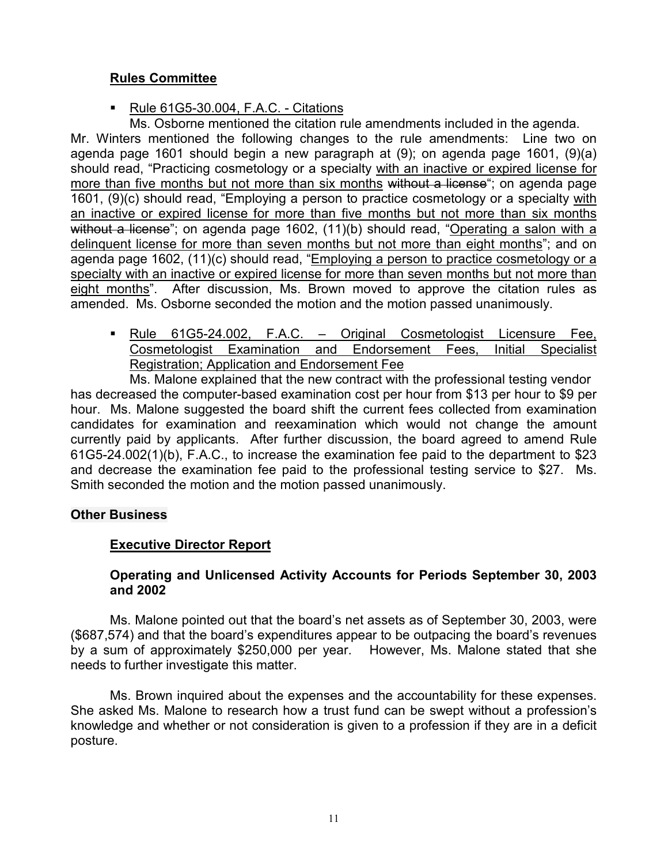# **Rules Committee**

Rule 61G5-30.004, F.A.C. - Citations

Ms. Osborne mentioned the citation rule amendments included in the agenda. Mr. Winters mentioned the following changes to the rule amendments: Line two on agenda page 1601 should begin a new paragraph at (9); on agenda page 1601, (9)(a) should read, "Practicing cosmetology or a specialty with an inactive or expired license for more than five months but not more than six months without a license"; on agenda page 1601, (9)(c) should read, "Employing a person to practice cosmetology or a specialty with an inactive or expired license for more than five months but not more than six months without a license"; on agenda page 1602, (11)(b) should read, "Operating a salon with a delinquent license for more than seven months but not more than eight months"; and on agenda page 1602, (11)(c) should read, "Employing a person to practice cosmetology or a specialty with an inactive or expired license for more than seven months but not more than eight months". After discussion, Ms. Brown moved to approve the citation rules as amended. Ms. Osborne seconded the motion and the motion passed unanimously.

 Rule 61G5-24.002, F.A.C. – Original Cosmetologist Licensure Fee, Cosmetologist Examination and Endorsement Fees, Initial Specialist Registration; Application and Endorsement Fee

Ms. Malone explained that the new contract with the professional testing vendor has decreased the computer-based examination cost per hour from \$13 per hour to \$9 per hour. Ms. Malone suggested the board shift the current fees collected from examination candidates for examination and reexamination which would not change the amount currently paid by applicants. After further discussion, the board agreed to amend Rule 61G5-24.002(1)(b), F.A.C., to increase the examination fee paid to the department to \$23 and decrease the examination fee paid to the professional testing service to \$27. Ms. Smith seconded the motion and the motion passed unanimously.

## **Other Business**

# **Executive Director Report**

## **Operating and Unlicensed Activity Accounts for Periods September 30, 2003 and 2002**

Ms. Malone pointed out that the board's net assets as of September 30, 2003, were (\$687,574) and that the board's expenditures appear to be outpacing the board's revenues by a sum of approximately \$250,000 per year. However, Ms. Malone stated that she needs to further investigate this matter.

Ms. Brown inquired about the expenses and the accountability for these expenses. She asked Ms. Malone to research how a trust fund can be swept without a profession's knowledge and whether or not consideration is given to a profession if they are in a deficit posture.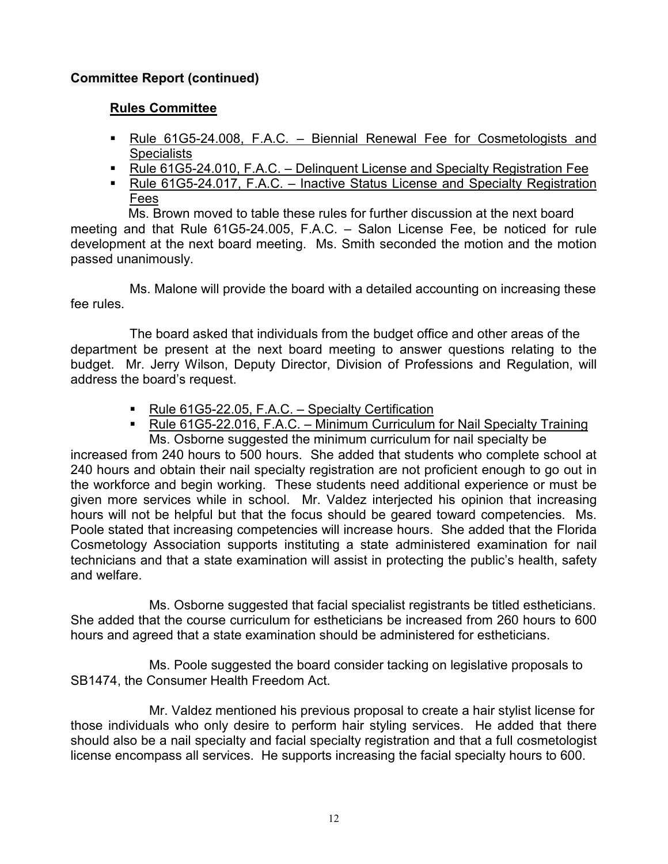# **Committee Report (continued)**

## **Rules Committee**

- Rule 61G5-24.008, F.A.C. Biennial Renewal Fee for Cosmetologists and **Specialists**
- Rule 61G5-24.010, F.A.C. Delinquent License and Specialty Registration Fee
- Rule 61G5-24.017, F.A.C. Inactive Status License and Specialty Registration Fees

 Ms. Brown moved to table these rules for further discussion at the next board meeting and that Rule 61G5-24.005, F.A.C. – Salon License Fee, be noticed for rule development at the next board meeting. Ms. Smith seconded the motion and the motion passed unanimously.

Ms. Malone will provide the board with a detailed accounting on increasing these fee rules.

The board asked that individuals from the budget office and other areas of the department be present at the next board meeting to answer questions relating to the budget. Mr. Jerry Wilson, Deputy Director, Division of Professions and Regulation, will address the board's request.

- Rule 61G5-22.05, F.A.C. Specialty Certification
- Rule 61G5-22.016, F.A.C. Minimum Curriculum for Nail Specialty Training

Ms. Osborne suggested the minimum curriculum for nail specialty be increased from 240 hours to 500 hours. She added that students who complete school at 240 hours and obtain their nail specialty registration are not proficient enough to go out in the workforce and begin working. These students need additional experience or must be given more services while in school. Mr. Valdez interjected his opinion that increasing hours will not be helpful but that the focus should be geared toward competencies. Ms. Poole stated that increasing competencies will increase hours. She added that the Florida Cosmetology Association supports instituting a state administered examination for nail technicians and that a state examination will assist in protecting the public's health, safety and welfare.

Ms. Osborne suggested that facial specialist registrants be titled estheticians. She added that the course curriculum for estheticians be increased from 260 hours to 600 hours and agreed that a state examination should be administered for estheticians.

Ms. Poole suggested the board consider tacking on legislative proposals to SB1474, the Consumer Health Freedom Act.

Mr. Valdez mentioned his previous proposal to create a hair stylist license for those individuals who only desire to perform hair styling services. He added that there should also be a nail specialty and facial specialty registration and that a full cosmetologist license encompass all services. He supports increasing the facial specialty hours to 600.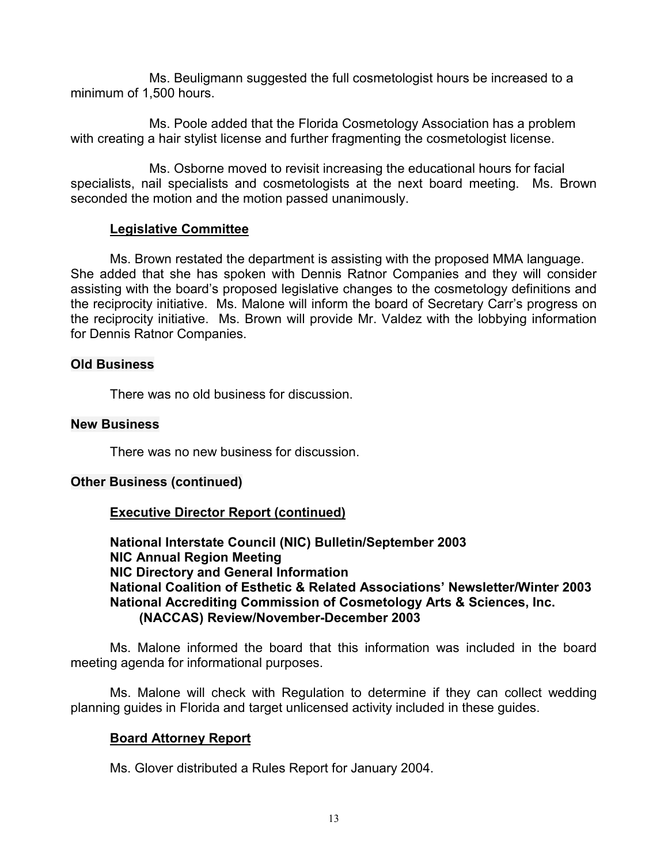Ms. Beuligmann suggested the full cosmetologist hours be increased to a minimum of 1,500 hours.

Ms. Poole added that the Florida Cosmetology Association has a problem with creating a hair stylist license and further fragmenting the cosmetologist license.

Ms. Osborne moved to revisit increasing the educational hours for facial specialists, nail specialists and cosmetologists at the next board meeting. Ms. Brown seconded the motion and the motion passed unanimously.

# **Legislative Committee**

Ms. Brown restated the department is assisting with the proposed MMA language. She added that she has spoken with Dennis Ratnor Companies and they will consider assisting with the board's proposed legislative changes to the cosmetology definitions and the reciprocity initiative. Ms. Malone will inform the board of Secretary Carr's progress on the reciprocity initiative. Ms. Brown will provide Mr. Valdez with the lobbying information for Dennis Ratnor Companies.

# **Old Business**

There was no old business for discussion.

## **New Business**

There was no new business for discussion.

## **Other Business (continued)**

# **Executive Director Report (continued)**

**National Interstate Council (NIC) Bulletin/September 2003 NIC Annual Region Meeting NIC Directory and General Information National Coalition of Esthetic & Related Associations' Newsletter/Winter 2003 National Accrediting Commission of Cosmetology Arts & Sciences, Inc. (NACCAS) Review/November-December 2003**

Ms. Malone informed the board that this information was included in the board meeting agenda for informational purposes.

Ms. Malone will check with Regulation to determine if they can collect wedding planning guides in Florida and target unlicensed activity included in these guides.

## **Board Attorney Report**

Ms. Glover distributed a Rules Report for January 2004.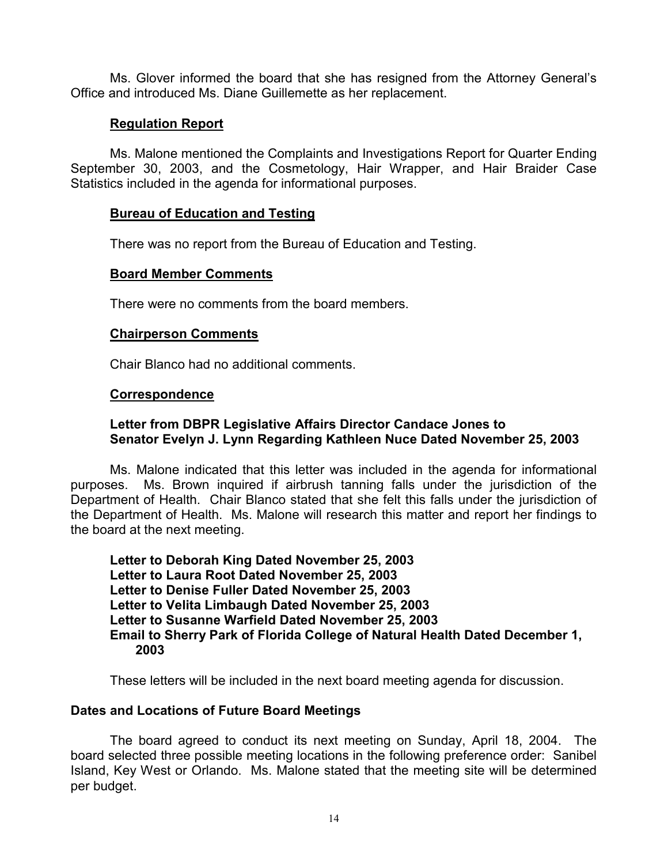Ms. Glover informed the board that she has resigned from the Attorney General's Office and introduced Ms. Diane Guillemette as her replacement.

## **Regulation Report**

Ms. Malone mentioned the Complaints and Investigations Report for Quarter Ending September 30, 2003, and the Cosmetology, Hair Wrapper, and Hair Braider Case Statistics included in the agenda for informational purposes.

## **Bureau of Education and Testing**

There was no report from the Bureau of Education and Testing.

## **Board Member Comments**

There were no comments from the board members.

# **Chairperson Comments**

Chair Blanco had no additional comments.

# **Correspondence**

# **Letter from DBPR Legislative Affairs Director Candace Jones to Senator Evelyn J. Lynn Regarding Kathleen Nuce Dated November 25, 2003**

Ms. Malone indicated that this letter was included in the agenda for informational purposes. Ms. Brown inquired if airbrush tanning falls under the jurisdiction of the Department of Health. Chair Blanco stated that she felt this falls under the jurisdiction of the Department of Health. Ms. Malone will research this matter and report her findings to the board at the next meeting.

**Letter to Deborah King Dated November 25, 2003 Letter to Laura Root Dated November 25, 2003 Letter to Denise Fuller Dated November 25, 2003 Letter to Velita Limbaugh Dated November 25, 2003 Letter to Susanne Warfield Dated November 25, 2003 Email to Sherry Park of Florida College of Natural Health Dated December 1, 2003**

These letters will be included in the next board meeting agenda for discussion.

# **Dates and Locations of Future Board Meetings**

The board agreed to conduct its next meeting on Sunday, April 18, 2004. The board selected three possible meeting locations in the following preference order: Sanibel Island, Key West or Orlando. Ms. Malone stated that the meeting site will be determined per budget.